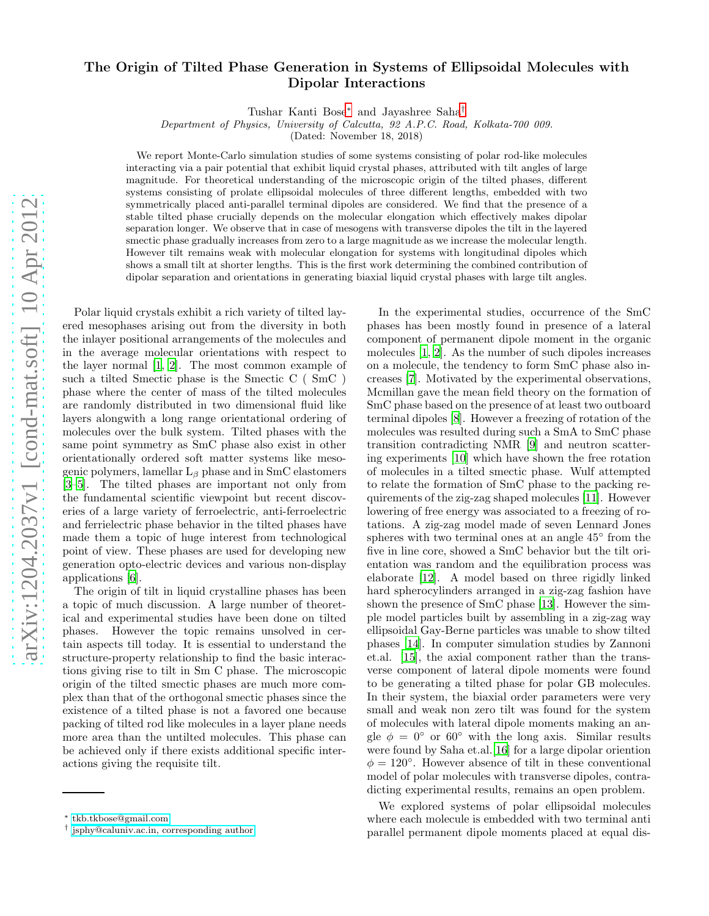## arXiv:1204.2037v1 [cond-mat.soft] 10 Apr 2012 [arXiv:1204.2037v1 \[cond-mat.soft\] 10 Apr 2012](http://arxiv.org/abs/1204.2037v1)

## The Origin of Tilted Phase Generation in Systems of Ellipsoidal Molecules with Dipolar Interactions

Tushar Kanti Bose[∗](#page-0-0) and Jayashree Saha[†](#page-0-1)

Department of Physics, University of Calcutta, 92 A.P.C. Road, Kolkata-700 009.

(Dated: November 18, 2018)

We report Monte-Carlo simulation studies of some systems consisting of polar rod-like molecules interacting via a pair potential that exhibit liquid crystal phases, attributed with tilt angles of large magnitude. For theoretical understanding of the microscopic origin of the tilted phases, different systems consisting of prolate ellipsoidal molecules of three different lengths, embedded with two symmetrically placed anti-parallel terminal dipoles are considered. We find that the presence of a stable tilted phase crucially depends on the molecular elongation which effectively makes dipolar separation longer. We observe that in case of mesogens with transverse dipoles the tilt in the layered smectic phase gradually increases from zero to a large magnitude as we increase the molecular length. However tilt remains weak with molecular elongation for systems with longitudinal dipoles which shows a small tilt at shorter lengths. This is the first work determining the combined contribution of dipolar separation and orientations in generating biaxial liquid crystal phases with large tilt angles.

Polar liquid crystals exhibit a rich variety of tilted layered mesophases arising out from the diversity in both the inlayer positional arrangements of the molecules and in the average molecular orientations with respect to the layer normal [\[1](#page-3-0), [2](#page-3-1)]. The most common example of such a tilted Smectic phase is the Smectic C ( SmC ) phase where the center of mass of the tilted molecules are randomly distributed in two dimensional fluid like layers alongwith a long range orientational ordering of molecules over the bulk system. Tilted phases with the same point symmetry as SmC phase also exist in other orientationally ordered soft matter systems like mesogenic polymers, lamellar  $L_\beta$  phase and in SmC elastomers [\[3](#page-3-2)[–5\]](#page-3-3). The tilted phases are important not only from the fundamental scientific viewpoint but recent discoveries of a large variety of ferroelectric, anti-ferroelectric and ferrielectric phase behavior in the tilted phases have made them a topic of huge interest from technological point of view. These phases are used for developing new generation opto-electric devices and various non-display applications [\[6](#page-3-4)].

The origin of tilt in liquid crystalline phases has been a topic of much discussion. A large number of theoretical and experimental studies have been done on tilted phases. However the topic remains unsolved in certain aspects till today. It is essential to understand the structure-property relationship to find the basic interactions giving rise to tilt in Sm C phase. The microscopic origin of the tilted smectic phases are much more complex than that of the orthogonal smectic phases since the existence of a tilted phase is not a favored one because packing of tilted rod like molecules in a layer plane needs more area than the untilted molecules. This phase can be achieved only if there exists additional specific interactions giving the requisite tilt.

In the experimental studies, occurrence of the SmC phases has been mostly found in presence of a lateral component of permanent dipole moment in the organic molecules [\[1](#page-3-0), [2](#page-3-1)]. As the number of such dipoles increases on a molecule, the tendency to form SmC phase also increases [\[7](#page-3-5)]. Motivated by the experimental observations, Mcmillan gave the mean field theory on the formation of SmC phase based on the presence of at least two outboard terminal dipoles [\[8\]](#page-3-6). However a freezing of rotation of the molecules was resulted during such a SmA to SmC phase transition contradicting NMR [\[9](#page-3-7)] and neutron scattering experiments [\[10](#page-3-8)] which have shown the free rotation of molecules in a tilted smectic phase. Wulf attempted to relate the formation of SmC phase to the packing requirements of the zig-zag shaped molecules [\[11\]](#page-3-9). However lowering of free energy was associated to a freezing of rotations. A zig-zag model made of seven Lennard Jones spheres with two terminal ones at an angle  $45^{\circ}$  from the five in line core, showed a SmC behavior but the tilt orientation was random and the equilibration process was elaborate [\[12\]](#page-3-10). A model based on three rigidly linked hard spherocylinders arranged in a zig-zag fashion have shown the presence of SmC phase [\[13\]](#page-3-11). However the simple model particles built by assembling in a zig-zag way ellipsoidal Gay-Berne particles was unable to show tilted phases [\[14\]](#page-3-12). In computer simulation studies by Zannoni et.al. [\[15\]](#page-3-13), the axial component rather than the transverse component of lateral dipole moments were found to be generating a tilted phase for polar GB molecules. In their system, the biaxial order parameters were very small and weak non zero tilt was found for the system of molecules with lateral dipole moments making an angle  $\phi = 0^{\circ}$  or 60° with the long axis. Similar results were found by Saha et.al.[\[16](#page-4-0)] for a large dipolar oriention  $\phi = 120^{\circ}$ . However absence of tilt in these conventional model of polar molecules with transverse dipoles, contradicting experimental results, remains an open problem.

We explored systems of polar ellipsoidal molecules where each molecule is embedded with two terminal anti parallel permanent dipole moments placed at equal dis-

<span id="page-0-0"></span><sup>∗</sup> [tkb.tkbose@gmail.com](mailto:tkb.tkbose@gmail.com)

<span id="page-0-1"></span><sup>†</sup> [jsphy@caluniv.ac.in, corresponding author](mailto:jsphy@caluniv.ac.in, corresponding author)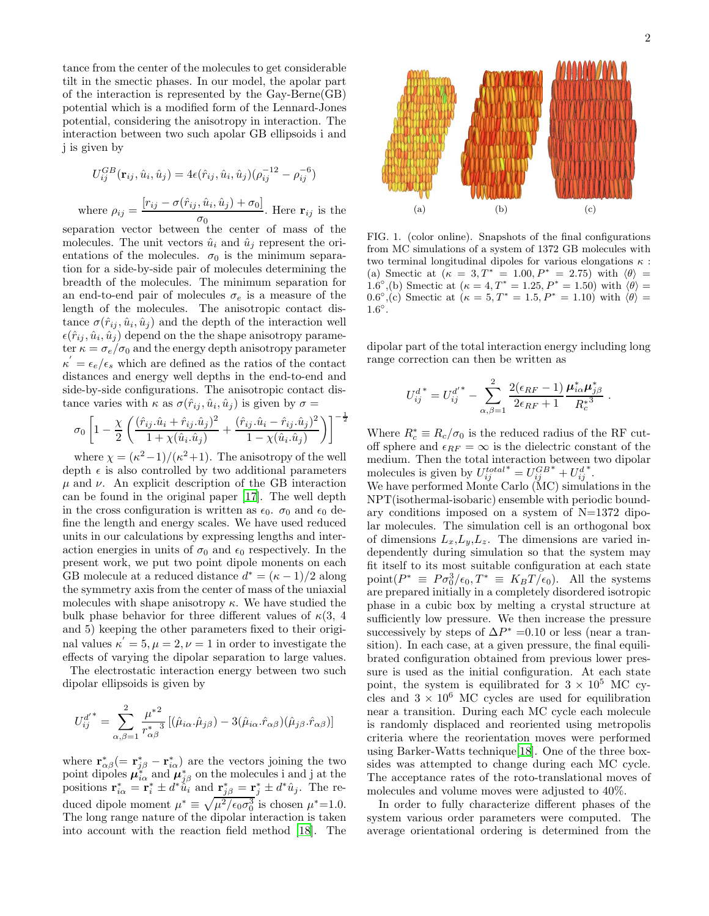tance from the center of the molecules to get considerable tilt in the smectic phases. In our model, the apolar part of the interaction is represented by the Gay-Berne(GB) potential which is a modified form of the Lennard-Jones potential, considering the anisotropy in interaction. The interaction between two such apolar GB ellipsoids i and j is given by

$$
U_{ij}^{GB}(\mathbf{r}_{ij}, \hat{u}_i, \hat{u}_j) = 4\epsilon(\hat{r}_{ij}, \hat{u}_i, \hat{u}_j)(\rho_{ij}^{-12} - \rho_{ij}^{-6})
$$
  
here 
$$
\rho_{ij} = \frac{[r_{ij} - \sigma(\hat{r}_{ij}, \hat{u}_i, \hat{u}_j) + \sigma_0]}{\sigma_0}.
$$
 Here  $\mathbf{r}_{ij}$  is the

 $\bar{W}$ 

separation vector between the center of mass of the molecules. The unit vectors  $\hat{u}_i$  and  $\hat{u}_j$  represent the orientations of the molecules.  $\sigma_0$  is the minimum separation for a side-by-side pair of molecules determining the breadth of the molecules. The minimum separation for an end-to-end pair of molecules  $\sigma_e$  is a measure of the length of the molecules. The anisotropic contact distance  $\sigma(\hat{r}_{ij}, \hat{u}_i, \hat{u}_j)$  and the depth of the interaction well  $\epsilon(\hat{r}_{ij}, \hat{u}_i, \hat{u}_j)$  depend on the the shape anisotropy parameter  $\kappa = \sigma_e/\sigma_0$  and the energy depth anisotropy parameter  $\kappa' = \epsilon_e/\epsilon_s$  which are defined as the ratios of the contact distances and energy well depths in the end-to-end and side-by-side configurations. The anisotropic contact distance varies with  $\kappa$  as  $\sigma(\hat{r}_{ij}, \hat{u}_i, \hat{u}_j)$  is given by  $\sigma =$ 

$$
\sigma_0 \left[ 1 - \frac{\chi}{2} \left( \frac{(\hat{r}_{ij}.\hat{u}_i + \hat{r}_{ij}.\hat{u}_j)^2}{1 + \chi(\hat{u}_i.\hat{u}_j)} + \frac{(\hat{r}_{ij}.\hat{u}_i - \hat{r}_{ij}.\hat{u}_j)^2}{1 - \chi(\hat{u}_i.\hat{u}_j)} \right) \right]^{-\frac{1}{2}}
$$

where  $\chi = (\kappa^2 - 1)/(\kappa^2 + 1)$ . The anisotropy of the well depth  $\epsilon$  is also controlled by two additional parameters  $\mu$  and  $\nu$ . An explicit description of the GB interaction can be found in the original paper [\[17\]](#page-4-1). The well depth in the cross configuration is written as  $\epsilon_0$ .  $\sigma_0$  and  $\epsilon_0$  define the length and energy scales. We have used reduced units in our calculations by expressing lengths and interaction energies in units of  $\sigma_0$  and  $\epsilon_0$  respectively. In the present work, we put two point dipole monents on each GB molecule at a reduced distance  $d^* = (\kappa - 1)/2$  along the symmetry axis from the center of mass of the uniaxial molecules with shape anisotropy  $\kappa$ . We have studied the bulk phase behavior for three different values of  $\kappa(3, 4)$ and 5) keeping the other parameters fixed to their original values  $\kappa' = 5, \mu = 2, \nu = 1$  in order to investigate the effects of varying the dipolar separation to large values.

The electrostatic interaction energy between two such dipolar ellipsoids is given by

$$
U_{ij}^{d'}^* = \sum_{\alpha,\beta=1}^2 \frac{\mu^{*2}}{r_{\alpha\beta}^*} \left[ (\hat{\mu}_{i\alpha} \cdot \hat{\mu}_{j\beta}) - 3(\hat{\mu}_{i\alpha} \cdot \hat{r}_{\alpha\beta}) (\hat{\mu}_{j\beta} \cdot \hat{r}_{\alpha\beta}) \right]
$$

where  $\mathbf{r}_{\alpha\beta}^* (=\mathbf{r}_{j\beta}^* - \mathbf{r}_{i\alpha}^*)$  are the vectors joining the two point dipoles  $\mu_{i\alpha}^*$  and  $\mu_{j\beta}^*$  on the molecules i and j at the positions  $\mathbf{r}_{i\alpha}^* = \mathbf{r}_i^* \pm \dot{d}^* \hat{u}_i^{\beta}$  and  $\mathbf{r}_{j\beta}^* = \mathbf{r}_j^* \pm \dot{d}^* \hat{u}_j$ . The reduced dipole moment  $\mu^* \equiv \sqrt{\mu^2/\epsilon_0 \sigma_0^3}$  is chosen  $\mu^* = 1.0$ . The long range nature of the dipolar interaction is taken into account with the reaction field method [\[18](#page-4-2)]. The



FIG. 1. (color online). Snapshots of the final configurations from MC simulations of a system of 1372 GB molecules with two terminal longitudinal dipoles for various elongations  $\kappa$ : (a) Smectic at  $(\kappa = 3, T^* = 1.00, P^* = 2.75)$  with  $\langle \theta \rangle$  = 1.6°,(b) Smectic at  $(\kappa = 4, T^* = 1.25, P^* = 1.50)$  with  $\langle \theta \rangle =$  $(0.6^{\circ}, (c) \text{ Smectic at } (\kappa = 5, T^* = 1.5, P^* = 1.10) \text{ with } \langle \theta \rangle =$  $1.6^\circ$ .

dipolar part of the total interaction energy including long range correction can then be written as

$$
U^{d^*}_{ij} = U^{d'^*}_{ij} - \sum_{\alpha,\beta=1}^2 \frac{2(\epsilon_{RF}-1)}{2\epsilon_{RF}+1} \frac{\mu^*_{i\alpha}\mu^*_{j\beta}}{R_c^{*3}}.
$$

Where  $R_c^* \equiv R_c/\sigma_0$  is the reduced radius of the RF cutoff sphere and  $\epsilon_{RF} = \infty$  is the dielectric constant of the medium. Then the total interaction between two dipolar molecules is given by  $U_{ij}^{total}$ \* $=U_{ij}^{GB}$ \* +  $U_{ij}^d$ ∗ .

We have performed Monte Carlo (MC) simulations in the NPT(isothermal-isobaric) ensemble with periodic boundary conditions imposed on a system of  $N=1372$  dipolar molecules. The simulation cell is an orthogonal box of dimensions  $L_x, L_y, L_z$ . The dimensions are varied independently during simulation so that the system may fit itself to its most suitable configuration at each state point $(P^* \equiv P \sigma_0^3/\epsilon_0, T^* \equiv K_B T/\epsilon_0)$ . All the systems are prepared initially in a completely disordered isotropic phase in a cubic box by melting a crystal structure at sufficiently low pressure. We then increase the pressure successively by steps of  $\Delta P^* = 0.10$  or less (near a transition). In each case, at a given pressure, the final equilibrated configuration obtained from previous lower pressure is used as the initial configuration. At each state point, the system is equilibrated for  $3 \times 10^5$  MC cycles and  $3 \times 10^6$  MC cycles are used for equilibration near a transition. During each MC cycle each molecule is randomly displaced and reoriented using metropolis criteria where the reorientation moves were performed using Barker-Watts technique[\[18\]](#page-4-2). One of the three boxsides was attempted to change during each MC cycle. The acceptance rates of the roto-translational moves of molecules and volume moves were adjusted to 40%.

In order to fully characterize different phases of the system various order parameters were computed. The average orientational ordering is determined from the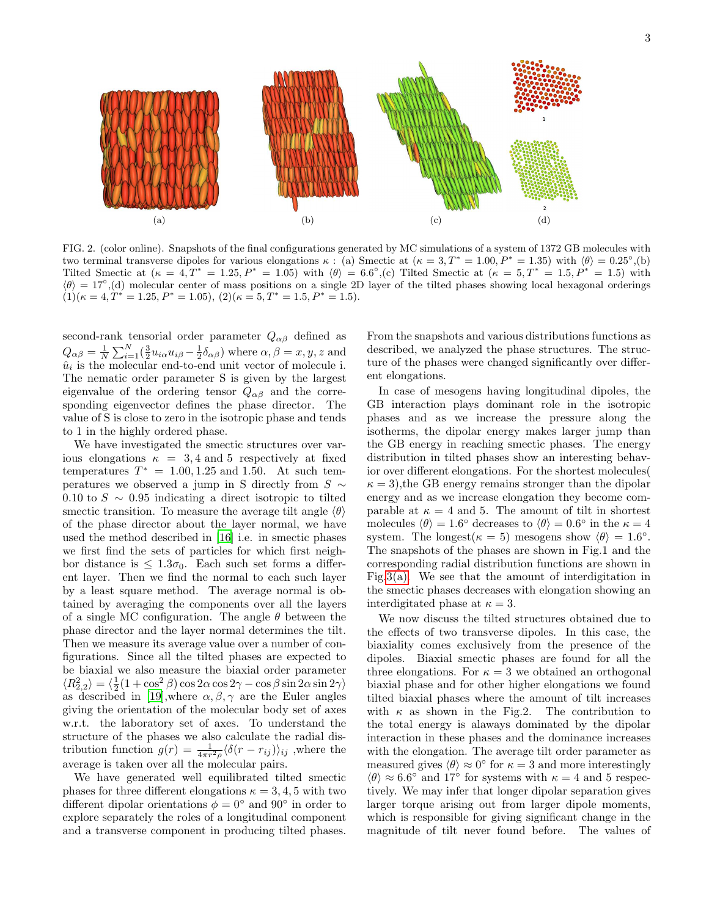

FIG. 2. (color online). Snapshots of the final configurations generated by MC simulations of a system of 1372 GB molecules with two terminal transverse dipoles for various elongations  $\kappa$ : (a) Smectic at  $(\kappa = 3, T^* = 1.00, P^* = 1.35)$  with  $\langle \theta \rangle = 0.25^{\circ},$  (b) Tilted Smectic at  $(\kappa = 4, T^* = 1.25, P^* = 1.05)$  with  $\langle \theta \rangle = 6.6^{\circ}, c$  Tilted Smectic at  $(\kappa = 5, T^* = 1.5, P^* = 1.5)$  with  $\langle \theta \rangle = 17°$ ,(d) molecular center of mass positions on a single 2D layer of the tilted phases showing local hexagonal orderings  $(1)(\kappa = 4, T^* = 1.25, P^* = 1.05), (2)(\kappa = 5, T^* = 1.5, P^* = 1.5).$ 

second-rank tensorial order parameter  $Q_{\alpha\beta}$  defined as  $Q_{\alpha\beta} = \frac{1}{N}$  $\frac{1}{N} \sum_{i=1}^{N} \left( \frac{3}{2} u_{i\alpha} u_{i\beta} - \frac{1}{2} \delta_{\alpha\beta} \right)$  where  $\alpha, \beta = x, y, z$  and  $\hat{u}_i$  is the molecular end-to-end unit vector of molecule i. The nematic order parameter S is given by the largest eigenvalue of the ordering tensor  $Q_{\alpha\beta}$  and the corresponding eigenvector defines the phase director. The value of S is close to zero in the isotropic phase and tends to 1 in the highly ordered phase.

We have investigated the smectic structures over various elongations  $\kappa = 3, 4$  and 5 respectively at fixed temperatures  $T^* = 1.00, 1.25$  and 1.50. At such temperatures we observed a jump in S directly from  $S \sim$ 0.10 to  $S \sim 0.95$  indicating a direct isotropic to tilted smectic transition. To measure the average tilt angle  $\langle \theta \rangle$ of the phase director about the layer normal, we have used the method described in [\[16\]](#page-4-0) i.e. in smectic phases we first find the sets of particles for which first neighbor distance is  $\leq 1.3\sigma_0$ . Each such set forms a different layer. Then we find the normal to each such layer by a least square method. The average normal is obtained by averaging the components over all the layers of a single MC configuration. The angle  $\theta$  between the phase director and the layer normal determines the tilt. Then we measure its average value over a number of configurations. Since all the tilted phases are expected to be biaxial we also measure the biaxial order parameter  $\langle R_{2,2}^2 \rangle = \langle \frac{1}{2}(1 + \cos^2{\beta}) \cos{2\alpha} \cos{2\gamma} - \cos{\beta} \sin{2\alpha} \sin{2\gamma} \rangle$ as described in [\[19](#page-4-3)], where  $\alpha, \beta, \gamma$  are the Euler angles giving the orientation of the molecular body set of axes w.r.t. the laboratory set of axes. To understand the structure of the phases we also calculate the radial distribution function  $g(r) = \frac{1}{4\pi r^2 \rho} \langle \delta(r - r_{ij}) \rangle_{ij}$ , where the average is taken over all the molecular pairs.

We have generated well equilibrated tilted smectic phases for three different elongations  $\kappa = 3, 4, 5$  with two different dipolar orientations  $\phi = 0^{\circ}$  and  $90^{\circ}$  in order to explore separately the roles of a longitudinal component and a transverse component in producing tilted phases.

From the snapshots and various distributions functions as described, we analyzed the phase structures. The structure of the phases were changed significantly over different elongations.

In case of mesogens having longitudinal dipoles, the GB interaction plays dominant role in the isotropic phases and as we increase the pressure along the isotherms, the dipolar energy makes larger jump than the GB energy in reaching smectic phases. The energy distribution in tilted phases show an interesting behavior over different elongations. For the shortest molecules(  $\kappa = 3$ , the GB energy remains stronger than the dipolar energy and as we increase elongation they become comparable at  $\kappa = 4$  and 5. The amount of tilt in shortest molecules  $\langle \theta \rangle = 1.6^{\circ}$  decreases to  $\langle \theta \rangle = 0.6^{\circ}$  in the  $\kappa = 4$ system. The longest( $\kappa = 5$ ) mesogens show  $\langle \theta \rangle = 1.6^{\circ}$ . The snapshots of the phases are shown in Fig.1 and the corresponding radial distribution functions are shown in Fig[.3\(a\).](#page-3-14) We see that the amount of interdigitation in the smectic phases decreases with elongation showing an interdigitated phase at  $\kappa = 3$ .

We now discuss the tilted structures obtained due to the effects of two transverse dipoles. In this case, the biaxiality comes exclusively from the presence of the dipoles. Biaxial smectic phases are found for all the three elongations. For  $\kappa = 3$  we obtained an orthogonal biaxial phase and for other higher elongations we found tilted biaxial phases where the amount of tilt increases with  $\kappa$  as shown in the Fig.2. The contribution to the total energy is alaways dominated by the dipolar interaction in these phases and the dominance increases with the elongation. The average tilt order parameter as measured gives  $\langle \theta \rangle \approx 0^{\circ}$  for  $\kappa = 3$  and more interestingly  $\langle \theta \rangle \approx 6.6^{\circ}$  and 17<sup>°</sup> for systems with  $\kappa = 4$  and 5 respectively. We may infer that longer dipolar separation gives larger torque arising out from larger dipole moments, which is responsible for giving significant change in the magnitude of tilt never found before. The values of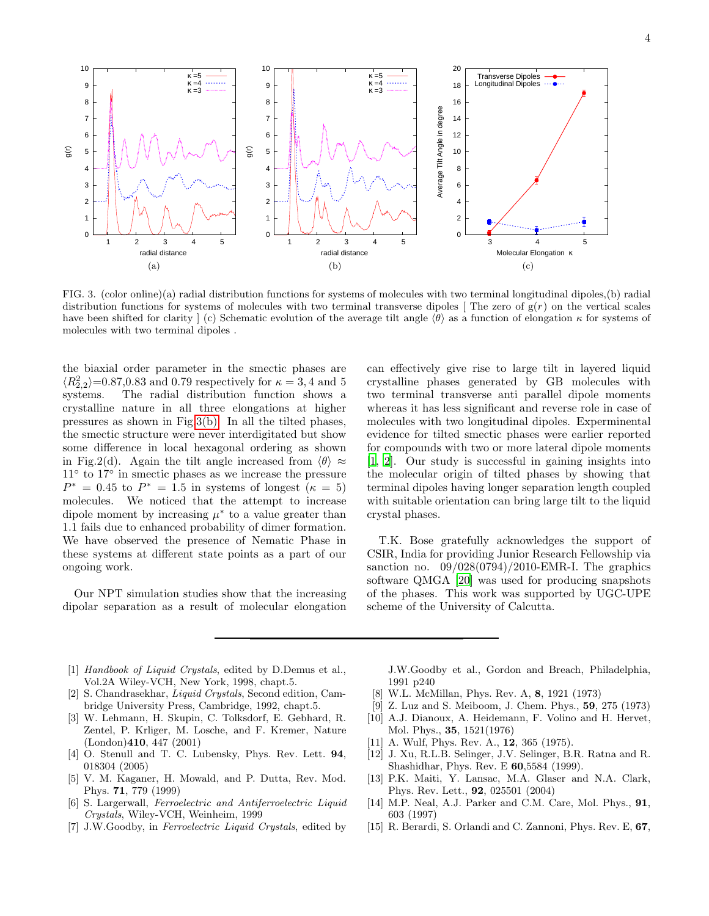

<span id="page-3-14"></span>FIG. 3. (color online)(a) radial distribution functions for systems of molecules with two terminal longitudinal dipoles,(b) radial distribution functions for systems of molecules with two terminal transverse dipoles [ The zero of  $g(r)$  on the vertical scales have been shifted for clarity  $\vert$  (c) Schematic evolution of the average tilt angle  $\langle \theta \rangle$  as a function of elongation  $\kappa$  for systems of molecules with two terminal dipoles .

the biaxial order parameter in the smectic phases are  $\langle R_{2,2}^2 \rangle$ =0.87,0.83 and 0.79 respectively for  $\kappa = 3, 4$  and 5 systems. The radial distribution function shows a crystalline nature in all three elongations at higher pressures as shown in Fig[.3\(b\).](#page-3-15) In all the tilted phases, the smectic structure were never interdigitated but show some difference in local hexagonal ordering as shown in Fig.2(d). Again the tilt angle increased from  $\langle \theta \rangle \approx$ 11◦ to 17◦ in smectic phases as we increase the pressure  $P^* = 0.45$  to  $P^* = 1.5$  in systems of longest  $(\kappa = 5)$ molecules. We noticed that the attempt to increase dipole moment by increasing  $\mu^*$  to a value greater than 1.1 fails due to enhanced probability of dimer formation. We have observed the presence of Nematic Phase in these systems at different state points as a part of our ongoing work.

Our NPT simulation studies show that the increasing dipolar separation as a result of molecular elongation

<span id="page-3-15"></span>can effectively give rise to large tilt in layered liquid crystalline phases generated by GB molecules with two terminal transverse anti parallel dipole moments whereas it has less significant and reverse role in case of molecules with two longitudinal dipoles. Experminental evidence for tilted smectic phases were earlier reported for compounds with two or more lateral dipole moments [\[1,](#page-3-0) [2](#page-3-1)]. Our study is successful in gaining insights into the molecular origin of tilted phases by showing that terminal dipoles having longer separation length coupled with suitable orientation can bring large tilt to the liquid crystal phases.

T.K. Bose gratefully acknowledges the support of CSIR, India for providing Junior Research Fellowship via sanction no.  $09/028(0794)/2010$ -EMR-I. The graphics software QMGA [\[20\]](#page-4-4) was used for producing snapshots of the phases. This work was supported by UGC-UPE scheme of the University of Calcutta.

- <span id="page-3-0"></span>[1] Handbook of Liquid Crystals, edited by D.Demus et al., Vol.2A Wiley-VCH, New York, 1998, chapt.5.
- <span id="page-3-1"></span>[2] S. Chandrasekhar, Liquid Crystals, Second edition, Cambridge University Press, Cambridge, 1992, chapt.5.
- <span id="page-3-2"></span>[3] W. Lehmann, H. Skupin, C. Tolksdorf, E. Gebhard, R. Zentel, P. Krliger, M. Losche, and F. Kremer, Nature (London)410, 447 (2001)
- [4] O. Stenull and T. C. Lubensky, Phys. Rev. Lett. 94, 018304 (2005)
- <span id="page-3-3"></span>[5] V. M. Kaganer, H. Mowald, and P. Dutta, Rev. Mod. Phys. 71, 779 (1999)
- <span id="page-3-4"></span>[6] S. Largerwall, Ferroelectric and Antiferroelectric Liquid Crystals, Wiley-VCH, Weinheim, 1999
- <span id="page-3-5"></span>[7] J.W.Goodby, in Ferroelectric Liquid Crystals, edited by

J.W.Goodby et al., Gordon and Breach, Philadelphia, 1991 p240

- <span id="page-3-6"></span>[8] W.L. McMillan, Phys. Rev. A, 8, 1921 (1973)
- <span id="page-3-7"></span>[9] Z. Luz and S. Meiboom, J. Chem. Phys., 59, 275 (1973)
- <span id="page-3-8"></span>[10] A.J. Dianoux, A. Heidemann, F. Volino and H. Hervet, Mol. Phys., 35, 1521(1976)
- <span id="page-3-9"></span>[11] A. Wulf, Phys. Rev. A., **12**, 365 (1975).
- <span id="page-3-10"></span>[12] J. Xu, R.L.B. Selinger, J.V. Selinger, B.R. Ratna and R. Shashidhar, Phys. Rev. E 60,5584 (1999).
- <span id="page-3-11"></span>[13] P.K. Maiti, Y. Lansac, M.A. Glaser and N.A. Clark, Phys. Rev. Lett., 92, 025501 (2004)
- <span id="page-3-12"></span>[14] M.P. Neal, A.J. Parker and C.M. Care, Mol. Phys., 91, 603 (1997)
- <span id="page-3-13"></span>[15] R. Berardi, S. Orlandi and C. Zannoni, Phys. Rev. E, 67,